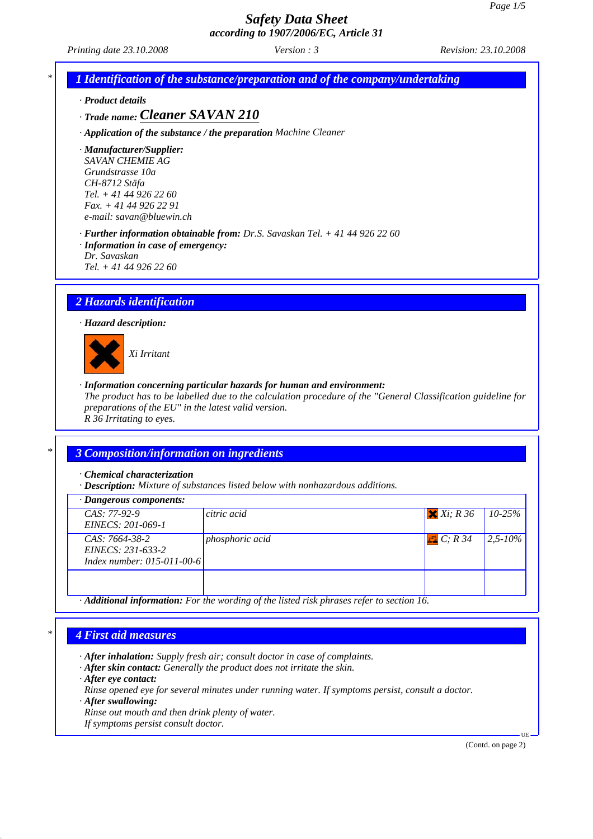*Printing date 23.10.2008 Revision: 23.10.2008 Version : 3*

*\* 1 Identification of the substance/preparation and of the company/undertaking*

*· Product details*

*· Trade name: Cleaner SAVAN 210*

*· Application of the substance / the preparation Machine Cleaner*

*· Manufacturer/Supplier: SAVAN CHEMIE AG Grundstrasse 10a CH-8712 Stäfa Tel. + 41 44 926 22 60 Fax. + 41 44 926 22 91*

*e-mail: savan@bluewin.ch*

*· Further information obtainable from: Dr.S. Savaskan Tel. + 41 44 926 22 60 · Information in case of emergency:*

*Dr. Savaskan*

*Tel. + 41 44 926 22 60*

# *2 Hazards identification*

*· Hazard description:*



*Xi Irritant*

*· Information concerning particular hazards for human and environment:*

*The product has to be labelled due to the calculation procedure of the "General Classification guideline for preparations of the EU" in the latest valid version. R 36 Irritating to eyes.*

# *\* 3 Composition/information on ingredients*

*· Chemical characterization*

*· Description: Mixture of substances listed below with nonhazardous additions.*

| $\cdot$ Dangerous components:                                       |                                                                                                        |                 |              |
|---------------------------------------------------------------------|--------------------------------------------------------------------------------------------------------|-----------------|--------------|
| $CAS: 77-92-9$<br>EINECS: 201-069-1                                 | citric acid                                                                                            | $X$ $Xi$ ; R 36 | $10 - 25%$   |
| CAS: 7664-38-2<br>EINECS: 231-633-2<br>Index number: $015-011-00-6$ | phosphoric acid                                                                                        | $\Box C; R34$   | $2.5 - 10\%$ |
|                                                                     |                                                                                                        |                 |              |
|                                                                     | $\cdot$ <b>Additional information:</b> For the wording of the listed risk phrases refer to section 16. |                 |              |

### *\* 4 First aid measures*

*· After inhalation: Supply fresh air; consult doctor in case of complaints.*

- *· After skin contact: Generally the product does not irritate the skin.*
- *· After eye contact:*

*Rinse opened eye for several minutes under running water. If symptoms persist, consult a doctor.*

- *· After swallowing:*
- *Rinse out mouth and then drink plenty of water.*

*If symptoms persist consult doctor.*

(Contd. on page 2)

UE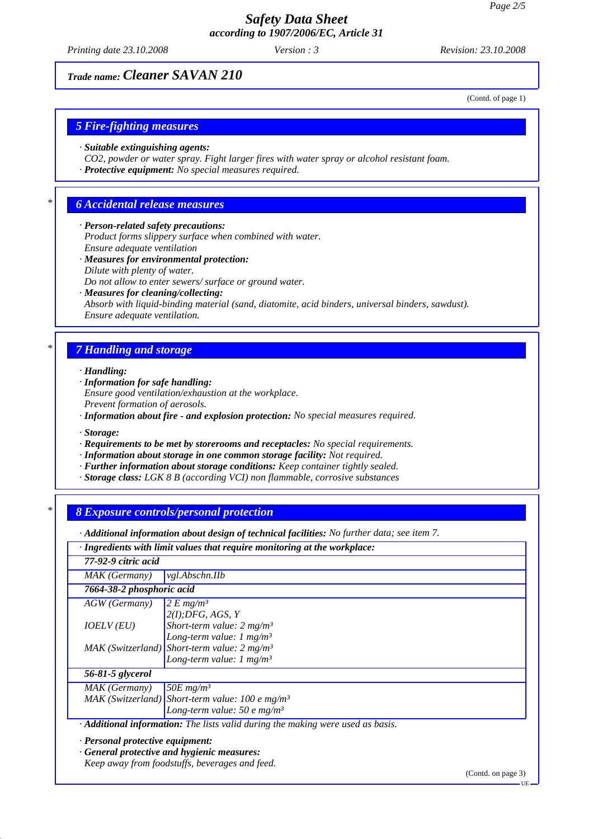*Printing date 23.10.2008 Revision: 23.10.2008 Version : 3*

(Contd. of page 1)

# *Trade name: Cleaner SAVAN 210*

*5 Fire-fighting measures*

- *· Suitable extinguishing agents:*
- *CO2, powder or water spray. Fight larger fires with water spray or alcohol resistant foam.*
- *· Protective equipment: No special measures required.*

# *\* 6 Accidental release measures*

### *· Person-related safety precautions:*

*Product forms slippery surface when combined with water. Ensure adequate ventilation*

*· Measures for environmental protection: Dilute with plenty of water.*

*Do not allow to enter sewers/ surface or ground water.*

*· Measures for cleaning/collecting:*

*Absorb with liquid-binding material (sand, diatomite, acid binders, universal binders, sawdust). Ensure adequate ventilation.*

# *\* 7 Handling and storage*

*· Handling:*

- *· Information for safe handling: Ensure good ventilation/exhaustion at the workplace. Prevent formation of aerosols.*
- *· Information about fire and explosion protection: No special measures required.*

*· Storage:*

- *· Requirements to be met by storerooms and receptacles: No special requirements.*
- *· Information about storage in one common storage facility: Not required.*
- *· Further information about storage conditions: Keep container tightly sealed.*
- *· Storage class: LGK 8 B (according VCI) non flammable, corrosive substances*

# *\* 8 Exposure controls/personal protection*

*· Additional information about design of technical facilities: No further data; see item 7.*

*· Ingredients with limit values that require monitoring at the workplace:*

| 77-92-9 citric acid                                                                    |                                                               |  |
|----------------------------------------------------------------------------------------|---------------------------------------------------------------|--|
| MAK (Germany)                                                                          | <i>vgl.Abschn.IIb</i>                                         |  |
| 7664-38-2 phosphoric acid                                                              |                                                               |  |
| AGW (Germany)                                                                          | 2 E mg/m <sup>3</sup>                                         |  |
|                                                                                        | 2(I).DFG, AGS, Y                                              |  |
| IOELV (EU)                                                                             | Short-term value: $2 mg/m3$                                   |  |
|                                                                                        | Long-term value: $1 \text{ mg/m}^3$                           |  |
|                                                                                        | $MAK$ (Switzerland) Short-term value: 2 mg/m <sup>3</sup>     |  |
|                                                                                        | Long-term value: $1 \text{ mg/m}^3$                           |  |
| 56-81-5 glycerol                                                                       |                                                               |  |
| MAK (Germany)                                                                          | 50E $mg/m^3$                                                  |  |
|                                                                                        | $MAK$ (Switzerland) Short-term value: 100 e mg/m <sup>3</sup> |  |
|                                                                                        | Long-term value: 50 e mg/m <sup>3</sup>                       |  |
| · <b>Additional information:</b> The lists valid during the making were used as basis. |                                                               |  |
|                                                                                        |                                                               |  |

*· Personal protective equipment:*

*· General protective and hygienic measures:*

*Keep away from foodstuffs, beverages and feed.*

(Contd. on page 3)

UE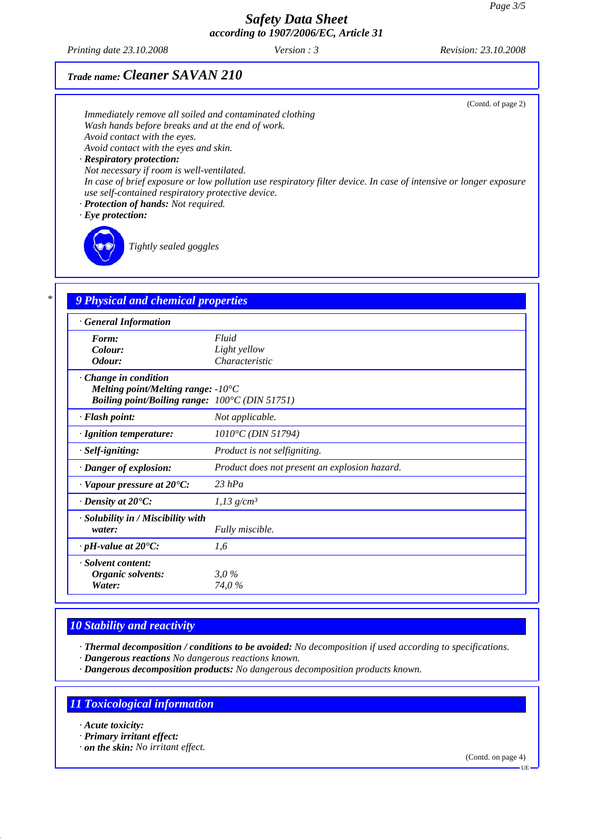*Printing date 23.10.2008 Revision: 23.10.2008 Version : 3*

# *Trade name: Cleaner SAVAN 210*

| Immediately remove all soiled and contaminated clothing<br>Wash hands before breaks and at the end of work.<br>Avoid contact with the eyes.<br>Avoid contact with the eyes and skin.<br>· Respiratory protection:<br>Not necessary if room is well-ventilated.<br>use self-contained respiratory protective device.<br>· Protection of hands: Not required.<br>$\cdot$ Eye protection:<br>Tightly sealed goggles | (Contd. of page 2)<br>In case of brief exposure or low pollution use respiratory filter device. In case of intensive or longer exposure |
|------------------------------------------------------------------------------------------------------------------------------------------------------------------------------------------------------------------------------------------------------------------------------------------------------------------------------------------------------------------------------------------------------------------|-----------------------------------------------------------------------------------------------------------------------------------------|
| 9 Physical and chemical properties                                                                                                                                                                                                                                                                                                                                                                               |                                                                                                                                         |
| <b>General Information</b>                                                                                                                                                                                                                                                                                                                                                                                       |                                                                                                                                         |
| Form:                                                                                                                                                                                                                                                                                                                                                                                                            | Fluid                                                                                                                                   |
| Colour:<br>Odour:                                                                                                                                                                                                                                                                                                                                                                                                | Light yellow<br>Characteristic                                                                                                          |
| · Change in condition<br>Melting point/Melting range: $-10^{\circ}$ C<br>Boiling point/Boiling range: 100°C (DIN 51751)                                                                                                                                                                                                                                                                                          |                                                                                                                                         |
| · Flash point:                                                                                                                                                                                                                                                                                                                                                                                                   | Not applicable.                                                                                                                         |
| · Ignition temperature:                                                                                                                                                                                                                                                                                                                                                                                          | 1010°C (DIN 51794)                                                                                                                      |
| · Self-igniting:                                                                                                                                                                                                                                                                                                                                                                                                 | Product is not selfigniting.                                                                                                            |
| · Danger of explosion:                                                                                                                                                                                                                                                                                                                                                                                           | Product does not present an explosion hazard.                                                                                           |
| $\cdot$ Vapour pressure at 20 $\degree$ C:                                                                                                                                                                                                                                                                                                                                                                       | $23$ hPa                                                                                                                                |
| $\cdot$ Density at 20 $\degree$ C:                                                                                                                                                                                                                                                                                                                                                                               | $1,13$ g/cm <sup>3</sup>                                                                                                                |
| · Solubility in / Miscibility with<br>water:                                                                                                                                                                                                                                                                                                                                                                     | Fully miscible.                                                                                                                         |
| $\cdot$ pH-value at 20 $\degree$ C:                                                                                                                                                                                                                                                                                                                                                                              | 1,6                                                                                                                                     |
| · Solvent content:<br>Organic solvents:<br>Water:                                                                                                                                                                                                                                                                                                                                                                | 3.0%<br>74,0%                                                                                                                           |

# *10 Stability and reactivity*

*· Thermal decomposition / conditions to be avoided: No decomposition if used according to specifications.*

- *· Dangerous reactions No dangerous reactions known.*
- *· Dangerous decomposition products: No dangerous decomposition products known.*

# *11 Toxicological information*

- *· Acute toxicity:*
- *· Primary irritant effect:*
- *· on the skin: No irritant effect.*

(Contd. on page 4)

UE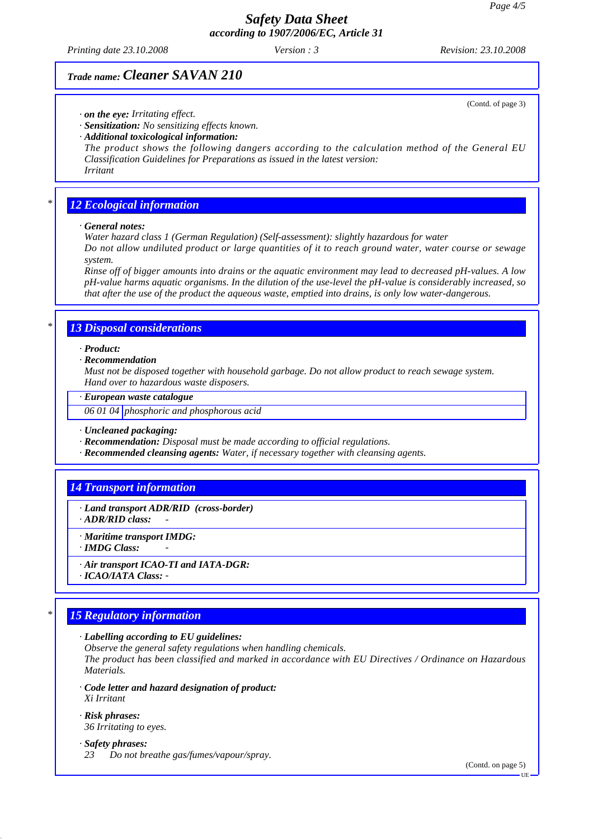*Printing date 23.10.2008 Revision: 23.10.2008 Version : 3*

# *Trade name: Cleaner SAVAN 210*

*· on the eye: Irritating effect.*

*· Sensitization: No sensitizing effects known.*

*· Additional toxicological information:*

*The product shows the following dangers according to the calculation method of the General EU Classification Guidelines for Preparations as issued in the latest version: Irritant*

### *\* 12 Ecological information*

#### *· General notes:*

*Water hazard class 1 (German Regulation) (Self-assessment): slightly hazardous for water Do not allow undiluted product or large quantities of it to reach ground water, water course or sewage system.*

*Rinse off of bigger amounts into drains or the aquatic environment may lead to decreased pH-values. A low pH-value harms aquatic organisms. In the dilution of the use-level the pH-value is considerably increased, so that after the use of the product the aqueous waste, emptied into drains, is only low water-dangerous.*

### *\* 13 Disposal considerations*

*· Product:*

#### *· Recommendation*

*Must not be disposed together with household garbage. Do not allow product to reach sewage system. Hand over to hazardous waste disposers.*

#### *· European waste catalogue*

*06 01 04 phosphoric and phosphorous acid*

*· Uncleaned packaging:*

- *· Recommendation: Disposal must be made according to official regulations.*
- *· Recommended cleansing agents: Water, if necessary together with cleansing agents.*

### *14 Transport information*

*· Land transport ADR/RID (cross-border) · ADR/RID class: -* 

*· Maritime transport IMDG:*

*· IMDG Class: -* 

- *· Air transport ICAO-TI and IATA-DGR:*
- *· ICAO/IATA Class:*

# *\* 15 Regulatory information*

*· Labelling according to EU guidelines:*

*Observe the general safety regulations when handling chemicals.*

*The product has been classified and marked in accordance with EU Directives / Ordinance on Hazardous Materials.*

- *· Code letter and hazard designation of product: Xi Irritant*
- *· Risk phrases: 36 Irritating to eyes.*
- *· Safety phrases:*
- *23 Do not breathe gas/fumes/vapour/spray.*

(Contd. on page 5)

(Contd. of page 3)

UE